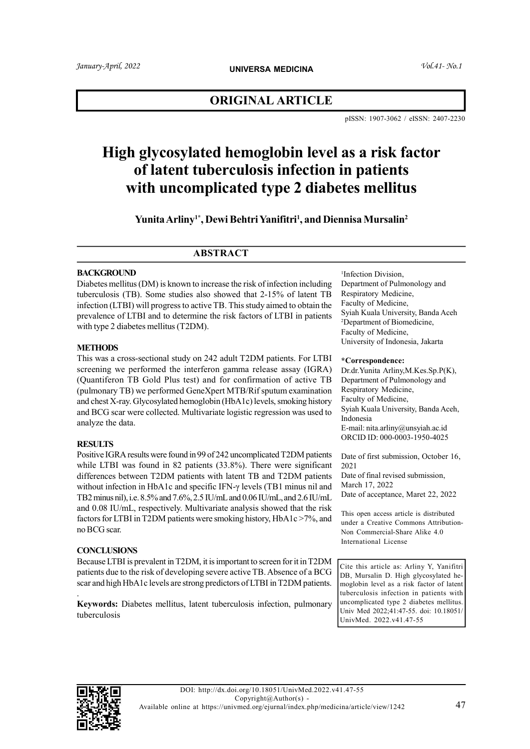## ORIGINAL ARTICLE

pISSN: 1907-3062 / eISSN: 2407-2230

# High glycosylated hemoglobin level as a risk factor of latent tuberculosis infection in patients with uncomplicated type 2 diabetes mellitus

Yunita Arliny<sup>1\*</sup>, Dewi Behtri Yanifitri<sup>1</sup>, and Diennisa Mursalin<sup>2</sup>

## **ABSTRACT**

#### **BACKGROUND**

Diabetes mellitus (DM) is known to increase the risk of infection including tuberculosis (TB). Some studies also showed that 2-15% of latent TB infection (LTBI) will progress to active TB. This study aimed to obtain the prevalence of LTBI and to determine the risk factors of LTBI in patients with type 2 diabetes mellitus (T2DM).

#### **METHODS**

This was a cross-sectional study on 242 adult T2DM patients. For LTBI screening we performed the interferon gamma release assay (IGRA) (Quantiferon TB Gold Plus test) and for confirmation of active TB (pulmonary TB) we performed GeneXpert MTB/Rif sputum examination and chest X-ray. Glycosylated hemoglobin (HbA1c) levels, smoking history and BCG scar were collected. Multivariate logistic regression was used to analyze the data.

## **RESULTS**

Positive IGRA results were found in 99 of 242 uncomplicated T2DM patients while LTBI was found in 82 patients (33.8%). There were significant differences between T2DM patients with latent TB and T2DM patients without infection in HbA1c and specific IFN-γ levels (TB1 minus nil and TB2 minus nil), i.e. 8.5% and 7.6%, 2.5 IU/mL and 0.06 IU/mL, and 2.6 IU/mL and 0.08 IU/mL, respectively. Multivariate analysis showed that the risk factors for LTBI in T2DM patients were smoking history, HbA1c >7%, and no BCG scar.

## **CONCLUSIONS**

Because LTBI is prevalent in T2DM, it is important to screen for it in T2DM patients due to the risk of developing severe active TB. Absence of a BCG scar and high HbA1c levels are strong predictors of LTBI in T2DM patients.

. Keywords: Diabetes mellitus, latent tuberculosis infection, pulmonary tuberculosis

1 Infection Division, Department of Pulmonology and Respiratory Medicine, Faculty of Medicine, Syiah Kuala University, Banda Aceh <sup>2</sup>Department of Biomedicine, Faculty of Medicine, University of Indonesia, Jakarta

#### \*Correspondence:

Dr.dr.Yunita Arliny,M.Kes.Sp.P(K), Department of Pulmonology and Respiratory Medicine, Faculty of Medicine, Syiah Kuala University, Banda Aceh, Indonesia E-mail: nita.arliny@unsyiah.ac.id ORCID ID: 000-0003-1950-4025

Date of first submission, October 16, 2021

Date of final revised submission, March 17, 2022 Date of acceptance, Maret 22, 2022

This open access article is distributed under a Creative Commons Attribution-Non Commercial-Share Alike 4.0 International License

Cite this article as: Arliny Y, Yanifitri DB, Mursalin D. High glycosylated hemoglobin level as a risk factor of latent tuberculosis infection in patients with uncomplicated type 2 diabetes mellitus. Univ Med 2022;41:47-55. doi: 10.18051/ UnivMed. 2022.v41.47-55

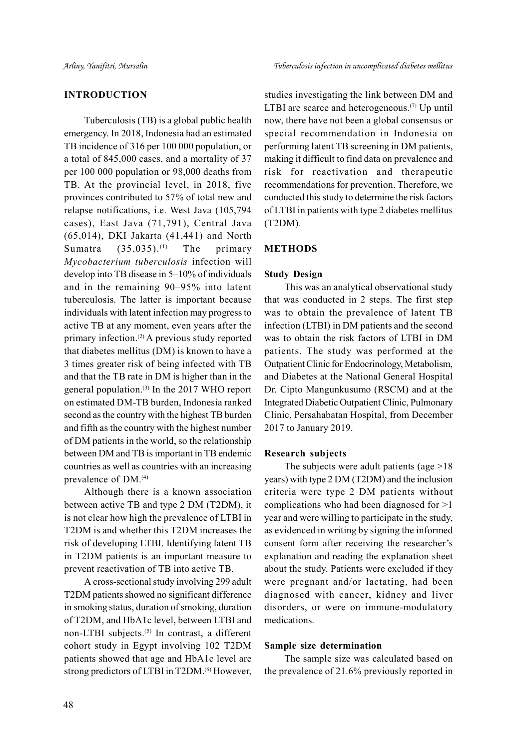### INTRODUCTION

Tuberculosis (TB) is a global public health emergency. In 2018, Indonesia had an estimated TB incidence of 316 per 100 000 population, or a total of 845,000 cases, and a mortality of 37 per 100 000 population or 98,000 deaths from TB. At the provincial level, in 2018, five provinces contributed to 57% of total new and relapse notifications, i.e. West Java (105,794 cases), East Java (71,791), Central Java (65,014), DKI Jakarta (41,441) and North Sumatra  $(35,035)$ .<sup>(1)</sup> The primary Mycobacterium tuberculosis infection will develop into TB disease in 5–10% of individuals and in the remaining 90–95% into latent tuberculosis. The latter is important because individuals with latent infection may progress to active TB at any moment, even years after the primary infection.(2) A previous study reported that diabetes mellitus (DM) is known to have a 3 times greater risk of being infected with TB and that the TB rate in DM is higher than in the general population.(3) In the 2017 WHO report on estimated DM-TB burden, Indonesia ranked second as the country with the highest TB burden and fifth as the country with the highest number of DM patients in the world, so the relationship between DM and TB is important in TB endemic countries as well as countries with an increasing prevalence of DM.(4)

Although there is a known association between active TB and type 2 DM (T2DM), it is not clear how high the prevalence of LTBI in T2DM is and whether this T2DM increases the risk of developing LTBI. Identifying latent TB in T2DM patients is an important measure to prevent reactivation of TB into active TB.

A cross-sectional study involving 299 adult T2DM patients showed no significant difference in smoking status, duration of smoking, duration of T2DM, and HbA1c level, between LTBI and non-LTBI subjects.<sup>(5)</sup> In contrast, a different cohort study in Egypt involving 102 T2DM patients showed that age and HbA1c level are strong predictors of LTBI in T2DM.(6) However,

studies investigating the link between DM and LTBI are scarce and heterogeneous. $(7)$  Up until now, there have not been a global consensus or special recommendation in Indonesia on performing latent TB screening in DM patients, making it difficult to find data on prevalence and risk for reactivation and therapeutic recommendations for prevention. Therefore, we conducted this study to determine the risk factors of LTBI in patients with type 2 diabetes mellitus (T2DM).

#### METHODS

#### Study Design

This was an analytical observational study that was conducted in 2 steps. The first step was to obtain the prevalence of latent TB infection (LTBI) in DM patients and the second was to obtain the risk factors of LTBI in DM patients. The study was performed at the Outpatient Clinic for Endocrinology, Metabolism, and Diabetes at the National General Hospital Dr. Cipto Mangunkusumo (RSCM) and at the Integrated Diabetic Outpatient Clinic, Pulmonary Clinic, Persahabatan Hospital, from December 2017 to January 2019.

#### Research subjects

The subjects were adult patients (age >18 years) with type 2 DM (T2DM) and the inclusion criteria were type 2 DM patients without complications who had been diagnosed for >1 year and were willing to participate in the study, as evidenced in writing by signing the informed consent form after receiving the researcher's explanation and reading the explanation sheet about the study. Patients were excluded if they were pregnant and/or lactating, had been diagnosed with cancer, kidney and liver disorders, or were on immune-modulatory medications.

#### Sample size determination

The sample size was calculated based on the prevalence of 21.6% previously reported in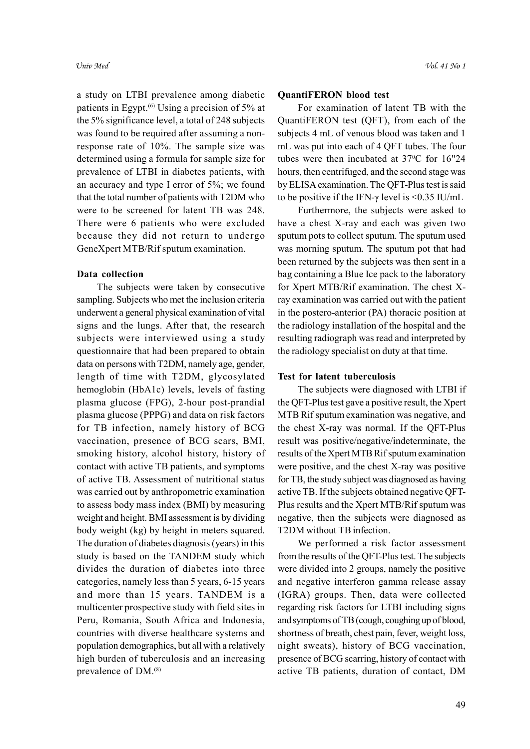a study on LTBI prevalence among diabetic patients in Egypt.<sup>(6)</sup> Using a precision of 5% at the 5% significance level, a total of 248 subjects was found to be required after assuming a nonresponse rate of 10%. The sample size was determined using a formula for sample size for prevalence of LTBI in diabetes patients, with an accuracy and type I error of 5%; we found that the total number of patients with T2DM who were to be screened for latent TB was 248. There were 6 patients who were excluded because they did not return to undergo GeneXpert MTB/Rif sputum examination.

#### Data collection

The subjects were taken by consecutive sampling. Subjects who met the inclusion criteria underwent a general physical examination of vital signs and the lungs. After that, the research subjects were interviewed using a study questionnaire that had been prepared to obtain data on persons with T2DM, namely age, gender, length of time with T2DM, glycosylated hemoglobin (HbA1c) levels, levels of fasting plasma glucose (FPG), 2-hour post-prandial plasma glucose (PPPG) and data on risk factors for TB infection, namely history of BCG vaccination, presence of BCG scars, BMI, smoking history, alcohol history, history of contact with active TB patients, and symptoms of active TB. Assessment of nutritional status was carried out by anthropometric examination to assess body mass index (BMI) by measuring weight and height. BMI assessment is by dividing body weight (kg) by height in meters squared. The duration of diabetes diagnosis (years) in this study is based on the TANDEM study which divides the duration of diabetes into three categories, namely less than 5 years, 6-15 years and more than 15 years. TANDEM is a multicenter prospective study with field sites in Peru, Romania, South Africa and Indonesia, countries with diverse healthcare systems and population demographics, but all with a relatively high burden of tuberculosis and an increasing prevalence of DM.(8)

#### QuantiFERON blood test

For examination of latent TB with the QuantiFERON test (QFT), from each of the subjects 4 mL of venous blood was taken and 1 mL was put into each of 4 QFT tubes. The four tubes were then incubated at 37°C for 16"24 hours, then centrifuged, and the second stage was by ELISA examination. The QFT-Plus test is said to be positive if the IFN- $\gamma$  level is <0.35 IU/mL

Furthermore, the subjects were asked to have a chest X-ray and each was given two sputum pots to collect sputum. The sputum used was morning sputum. The sputum pot that had been returned by the subjects was then sent in a bag containing a Blue Ice pack to the laboratory for Xpert MTB/Rif examination. The chest Xray examination was carried out with the patient in the postero-anterior (PA) thoracic position at the radiology installation of the hospital and the resulting radiograph was read and interpreted by the radiology specialist on duty at that time.

#### Test for latent tuberculosis

The subjects were diagnosed with LTBI if the QFT-Plus test gave a positive result, the Xpert MTB Rif sputum examination was negative, and the chest X-ray was normal. If the QFT-Plus result was positive/negative/indeterminate, the results of the Xpert MTB Rif sputum examination were positive, and the chest X-ray was positive for TB, the study subject was diagnosed as having active TB. If the subjects obtained negative QFT-Plus results and the Xpert MTB/Rif sputum was negative, then the subjects were diagnosed as T2DM without TB infection.

We performed a risk factor assessment from the results of the QFT-Plus test. The subjects were divided into 2 groups, namely the positive and negative interferon gamma release assay (IGRA) groups. Then, data were collected regarding risk factors for LTBI including signs and symptoms of TB (cough, coughing up of blood, shortness of breath, chest pain, fever, weight loss, night sweats), history of BCG vaccination, presence of BCG scarring, history of contact with active TB patients, duration of contact, DM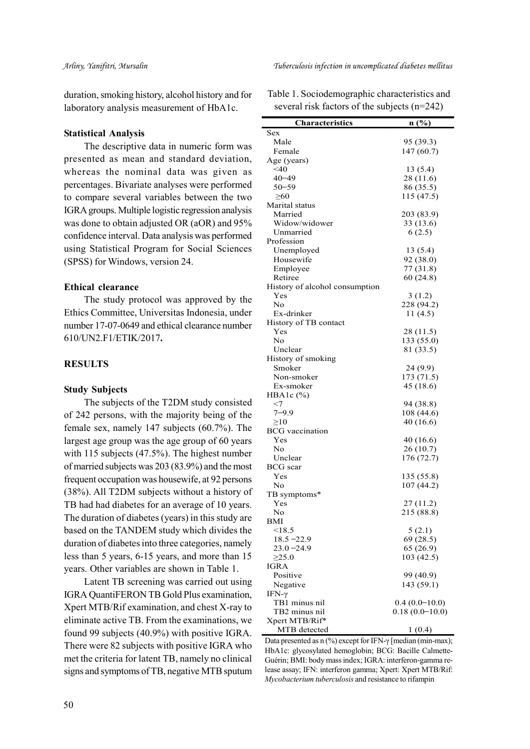duration, smoking history, alcohol history and for laboratory analysis measurement of HbA1c.

#### Statistical Analysis

The descriptive data in numeric form was presented as mean and standard deviation, whereas the nominal data was given as percentages. Bivariate analyses were performed to compare several variables between the two IGRA groups. Multiple logistic regression analysis was done to obtain adjusted OR (aOR) and 95% confidence interval. Data analysis was performed using Statistical Program for Social Sciences (SPSS) for Windows, version 24.

#### Ethical clearance

The study protocol was approved by the Ethics Committee, Universitas Indonesia, under number 17-07-0649 and ethical clearance number 610/UN2.F1/ETIK/2017.

## **RESULTS**

#### Study Subjects

The subjects of the T2DM study consisted of 242 persons, with the majority being of the female sex, namely 147 subjects (60.7%). The largest age group was the age group of 60 years with 115 subjects (47.5%). The highest number of married subjects was 203 (83.9%) and the most frequent occupation was housewife, at 92 persons (38%). All T2DM subjects without a history of TB had had diabetes for an average of 10 years. The duration of diabetes (years) in this study are based on the TANDEM study which divides the duration of diabetes into three categories, namely less than 5 years, 6-15 years, and more than 15 years. Other variables are shown in Table 1.

Latent TB screening was carried out using IGRA QuantiFERON TB Gold Plus examination, Xpert MTB/Rif examination, and chest X-ray to eliminate active TB. From the examinations, we found 99 subjects (40.9%) with positive IGRA. There were 82 subjects with positive IGRA who met the criteria for latent TB, namely no clinical signs and symptoms of TB, negative MTB sputum Table 1. Sociodemographic characteristics and several risk factors of the subjects (n=242)

| <b>Characteristics</b>         | n (%)            |
|--------------------------------|------------------|
| Sex                            |                  |
| Male                           | 95 (39.3)        |
| Female                         | 147(60.7)        |
| Age (years)                    |                  |
| $<$ 40                         | 13(5.4)          |
| $40 - 49$                      | 28 (11.6)        |
| 50–59                          | 86 (35.5)        |
| $\geq 60$                      | 115 (47.5)       |
| Marital status                 |                  |
| Married                        | 203 (83.9)       |
| Widow/widower                  | 33 (13.6)        |
| Unmarried                      | 6(2.5)           |
| Profession                     |                  |
| Unemployed                     | 13(5.4)          |
| Housewife                      | 92 (38.0)        |
| Employee                       | 77 (31.8)        |
| Retiree                        | 60 (24.8)        |
| History of alcohol consumption |                  |
| Yes                            | 3(1.2)           |
| No                             | 228 (94.2)       |
| Ex-drinker                     | 11 $(4.5)$       |
| History of TB contact          |                  |
| Yes                            | 28 (11.5)        |
| N <sub>o</sub>                 | 133 (55.0)       |
| Unclear                        | 81 (33.5)        |
| History of smoking             |                  |
| Smoker                         | 24 (9.9)         |
| Non-smoker                     | 173 (71.5)       |
| Ex-smoker                      | 45 (18.6)        |
| HBA1c $(\% )$                  |                  |
| $<$ 7                          | 94 (38.8)        |
| 7–9.9                          | 108 (44.6)       |
| $\geq 10$                      | 40 (16.6)        |
| <b>BCG</b> vaccination         |                  |
| Yes                            | 40 (16.6)        |
| No.                            | 26 (10.7)        |
| Unclear                        | 176 (72.7)       |
| <b>BCG</b> scar                |                  |
| Yes                            | 135 (55.8)       |
| No                             | 107(44.2)        |
| TB symptoms*                   |                  |
| Yes                            | 27 (11.2)        |
| No                             | 215 (88.8)       |
| BMI                            |                  |
| $<$ 18.5                       |                  |
|                                | 5(2.1)           |
| $18.5 - 22.9$                  | 69 (28.5)        |
| $23.0 - 24.9$                  | 65(26.9)         |
| $\geq 25.0$                    | 103 (42.5)       |
| IGRA                           |                  |
| Positive                       | 99 (40.9)        |
| Negative                       | 143 (59.1)       |
| IFN-γ                          |                  |
| TB1 minus nil                  | $0.4(0.0-10.0)$  |
| TB2 minus nil                  | $0.18(0.0-10.0)$ |
| Xpert MTB/Rif*                 |                  |
| MTB detected                   | 1(0.4)           |

Data presented as n (%) except for IFN-γ [median (min-max); HbA1c: glycosylated hemoglobin; BCG: Bacille Calmette-Guérin; BMI: body mass index; IGRA: interferon-gamma release assay; IFN: interferon gamma; Xpert: Xpert MTB/Rif: Mycobacterium tuberculosis and resistance to rifampin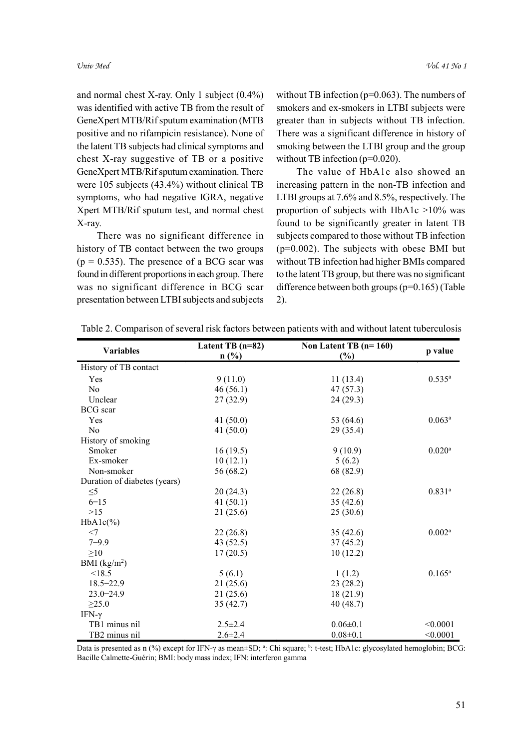and normal chest X-ray. Only 1 subject (0.4%) was identified with active TB from the result of GeneXpert MTB/Rif sputum examination (MTB positive and no rifampicin resistance). None of the latent TB subjects had clinical symptoms and chest X-ray suggestive of TB or a positive GeneXpert MTB/Rif sputum examination. There were 105 subjects (43.4%) without clinical TB symptoms, who had negative IGRA, negative Xpert MTB/Rif sputum test, and normal chest X-ray.

There was no significant difference in history of TB contact between the two groups  $(p = 0.535)$ . The presence of a BCG scar was found in different proportions in each group. There was no significant difference in BCG scar presentation between LTBI subjects and subjects

without TB infection  $(p=0.063)$ . The numbers of smokers and ex-smokers in LTBI subjects were greater than in subjects without TB infection. There was a significant difference in history of smoking between the LTBI group and the group without TB infection (p=0.020).

The value of HbA1c also showed an increasing pattern in the non-TB infection and LTBI groups at 7.6% and 8.5%, respectively. The proportion of subjects with HbA1c >10% was found to be significantly greater in latent TB subjects compared to those without TB infection (p=0.002). The subjects with obese BMI but without TB infection had higher BMIs compared to the latent TB group, but there was no significant difference between both groups (p=0.165) (Table 2).

| <b>Variables</b>             | Latent TB $(n=82)$ | Non Latent TB $(n=160)$ | p value              |
|------------------------------|--------------------|-------------------------|----------------------|
|                              | $n$ (%)            | (%)                     |                      |
| History of TB contact        |                    |                         |                      |
| Yes                          | 9(11.0)            | 11(13.4)                | $0.535^{a}$          |
| N <sub>o</sub>               | 46(56.1)           | 47(57.3)                |                      |
| Unclear                      | 27(32.9)           | 24(29.3)                |                      |
| <b>BCG</b> scar              |                    |                         |                      |
| Yes                          | 41 $(50.0)$        | 53 (64.6)               | $0.063^{\rm a}$      |
| N <sub>o</sub>               | 41 $(50.0)$        | 29(35.4)                |                      |
| History of smoking           |                    |                         |                      |
| Smoker                       | 16(19.5)           | 9(10.9)                 | $0.020$ <sup>a</sup> |
| Ex-smoker                    | 10(12.1)           | 5(6.2)                  |                      |
| Non-smoker                   | 56 (68.2)          | 68 (82.9)               |                      |
| Duration of diabetes (years) |                    |                         |                      |
| $\leq 5$                     | 20(24.3)           | 22(26.8)                | $0.831^{a}$          |
| $6 - 15$                     | 41 $(50.1)$        | 35(42.6)                |                      |
| $>15$                        | 21(25.6)           | 25(30.6)                |                      |
| $HbA1c(\%)$                  |                    |                         |                      |
| $<$ 7                        | 22(26.8)           | 35(42.6)                | $0.002^{\rm a}$      |
| $7 - 9.9$                    | 43(52.5)           | 37(45.2)                |                      |
| $\geq 10$                    | 17(20.5)           | 10(12.2)                |                      |
| BMI $(kg/m2)$                |                    |                         |                      |
| < 18.5                       | 5(6.1)             | 1(1.2)                  | $0.165^{\rm a}$      |
| $18.5 - 22.9$                | 21(25.6)           | 23(28.2)                |                      |
| $23.0 - 24.9$                | 21(25.6)           | 18(21.9)                |                      |
| $\geq$ 25.0                  | 35(42.7)           | 40(48.7)                |                      |
| IFN-γ                        |                    |                         |                      |
| TB1 minus nil                | $2.5 \pm 2.4$      | $0.06 \pm 0.1$          | < 0.0001             |
| TB2 minus nil                | $2.6 \pm 2.4$      | $0.08 \pm 0.1$          | < 0.0001             |

Table 2. Comparison of several risk factors between patients with and without latent tuberculosis

Data is presented as n (%) except for IFN-γ as mean±SD; <sup>a</sup>: Chi square; <sup>b</sup>: t-test; HbA1c: glycosylated hemoglobin; BCG: Bacille Calmette-Guérin; BMI: body mass index; IFN: interferon gamma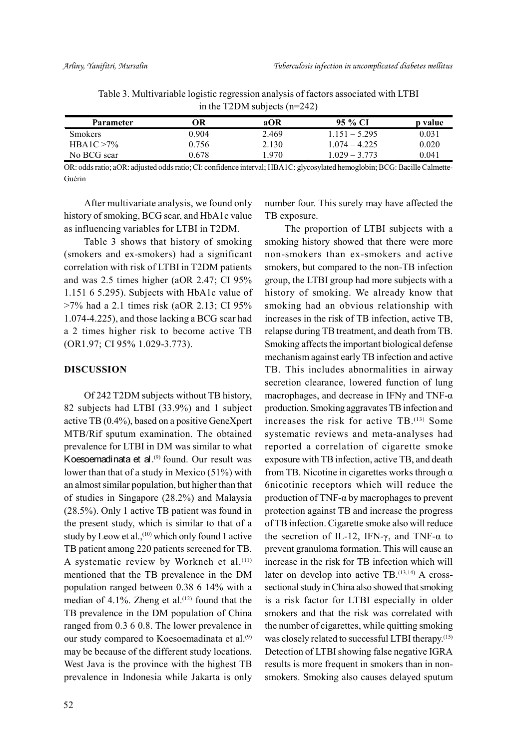| Parameter      | ЭR    | aOR   | 95 % CI           | p value |
|----------------|-------|-------|-------------------|---------|
| <b>Smokers</b> | 0.904 | 2.469 | $1.151 - 5.295$   | 0.031   |
| $HBA1C > 7\%$  | 0.756 | 2.130 | $.074 - 4.225$    | 0.020   |
| No BCG scar    | 0.678 | 1.970 | 3.773<br>$.029 -$ | 0.041   |

Table 3. Multivariable logistic regression analysis of factors associated with LTBI in the T2DM subjects (n=242)

OR: odds ratio; aOR: adjusted odds ratio; CI: confidence interval; HBA1C: glycosylated hemoglobin; BCG: Bacille Calmette-Guérin

After multivariate analysis, we found only history of smoking, BCG scar, and HbA1c value as influencing variables for LTBI in T2DM.

Table 3 shows that history of smoking (smokers and ex-smokers) had a significant correlation with risk of LTBI in T2DM patients and was 2.5 times higher (aOR 2.47; CI 95% 1.151 6 5.295). Subjects with HbA1c value of >7% had a 2.1 times risk (aOR 2.13; CI 95% 1.074-4.225), and those lacking a BCG scar had a 2 times higher risk to become active TB (OR1.97; CI 95% 1.029-3.773).

#### DISCUSSION

Of 242 T2DM subjects without TB history, 82 subjects had LTBI (33.9%) and 1 subject active TB (0.4%), based on a positive GeneXpert MTB/Rif sputum examination. The obtained prevalence for LTBI in DM was similar to what Koesoemadinata et al.<sup>(9)</sup> found. Our result was lower than that of a study in Mexico (51%) with an almost similar population, but higher than that of studies in Singapore (28.2%) and Malaysia (28.5%). Only 1 active TB patient was found in the present study, which is similar to that of a study by Leow et al.,<sup>(10)</sup> which only found 1 active TB patient among 220 patients screened for TB. A systematic review by Workneh et al.<sup>(11)</sup> mentioned that the TB prevalence in the DM population ranged between 0.38 6 14% with a median of 4.1%. Zheng et al.<sup> $(12)$ </sup> found that the TB prevalence in the DM population of China ranged from 0.3 6 0.8. The lower prevalence in our study compared to Koesoemadinata et al.<sup>(9)</sup> may be because of the different study locations. West Java is the province with the highest TB prevalence in Indonesia while Jakarta is only number four. This surely may have affected the TB exposure.

The proportion of LTBI subjects with a smoking history showed that there were more non-smokers than ex-smokers and active smokers, but compared to the non-TB infection group, the LTBI group had more subjects with a history of smoking. We already know that smoking had an obvious relationship with increases in the risk of TB infection, active TB, relapse during TB treatment, and death from TB. Smoking affects the important biological defense mechanism against early TB infection and active TB. This includes abnormalities in airway secretion clearance, lowered function of lung macrophages, and decrease in IFNγ and TNF-α production. Smoking aggravates TB infection and increases the risk for active TB.(13) Some systematic reviews and meta-analyses had reported a correlation of cigarette smoke exposure with TB infection, active TB, and death from TB. Nicotine in cigarettes works through  $\alpha$ 6nicotinic receptors which will reduce the production of TNF-α by macrophages to prevent protection against TB and increase the progress of TB infection. Cigarette smoke also will reduce the secretion of IL-12, IFN-γ, and TNF- $α$  to prevent granuloma formation. This will cause an increase in the risk for TB infection which will later on develop into active TB.<sup>(13,14)</sup> A crosssectional study in China also showed that smoking is a risk factor for LTBI especially in older smokers and that the risk was correlated with the number of cigarettes, while quitting smoking was closely related to successful LTBI therapy.<sup>(15)</sup> Detection of LTBI showing false negative IGRA results is more frequent in smokers than in nonsmokers. Smoking also causes delayed sputum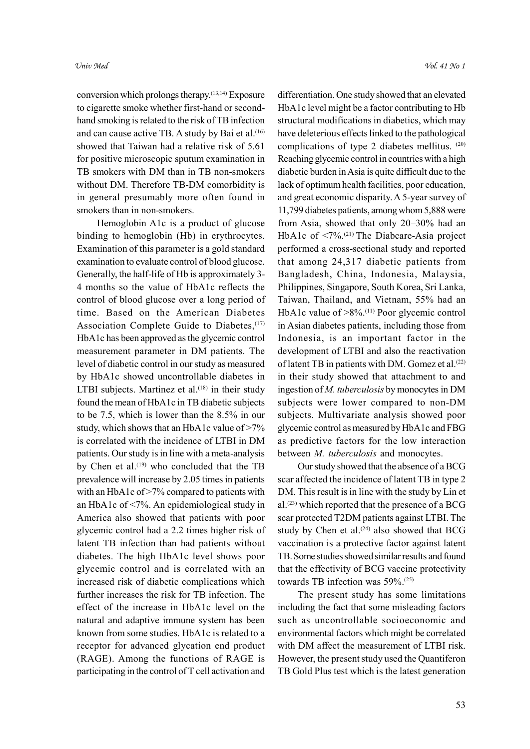conversion which prolongs therapy.(13,14) Exposure to cigarette smoke whether first-hand or secondhand smoking is related to the risk of TB infection and can cause active TB. A study by Bai et al.<sup>(16)</sup> showed that Taiwan had a relative risk of 5.61 for positive microscopic sputum examination in TB smokers with DM than in TB non-smokers without DM. Therefore TB-DM comorbidity is in general presumably more often found in smokers than in non-smokers.

Hemoglobin A1c is a product of glucose binding to hemoglobin (Hb) in erythrocytes. Examination of this parameter is a gold standard examination to evaluate control of blood glucose. Generally, the half-life of Hb is approximately 3- 4 months so the value of HbA1c reflects the control of blood glucose over a long period of time. Based on the American Diabetes Association Complete Guide to Diabetes, (17) HbA1c has been approved as the glycemic control measurement parameter in DM patients. The level of diabetic control in our study as measured by HbA1c showed uncontrollable diabetes in LTBI subjects. Martinez et al. $(18)$  in their study found the mean of HbA1c in TB diabetic subjects to be 7.5, which is lower than the 8.5% in our study, which shows that an HbA1c value of >7% is correlated with the incidence of LTBI in DM patients. Our study is in line with a meta-analysis by Chen et al.<sup>(19)</sup> who concluded that the TB prevalence will increase by 2.05 times in patients with an HbA1c of >7% compared to patients with an HbA1c of <7%. An epidemiological study in America also showed that patients with poor glycemic control had a 2.2 times higher risk of latent TB infection than had patients without diabetes. The high HbA1c level shows poor glycemic control and is correlated with an increased risk of diabetic complications which further increases the risk for TB infection. The effect of the increase in HbA1c level on the natural and adaptive immune system has been known from some studies. HbA1c is related to a receptor for advanced glycation end product (RAGE). Among the functions of RAGE is participating in the control of T cell activation and

differentiation. One study showed that an elevated HbA1c level might be a factor contributing to Hb structural modifications in diabetics, which may have deleterious effects linked to the pathological complications of type 2 diabetes mellitus. (20) Reaching glycemic control in countries with a high diabetic burden in Asia is quite difficult due to the lack of optimum health facilities, poor education, and great economic disparity. A 5-year survey of 11,799 diabetes patients, among whom 5,888 were from Asia, showed that only 20–30% had an HbA1c of <7%.(21) The Diabcare-Asia project performed a cross-sectional study and reported that among 24,317 diabetic patients from Bangladesh, China, Indonesia, Malaysia, Philippines, Singapore, South Korea, Sri Lanka, Taiwan, Thailand, and Vietnam, 55% had an HbA1c value of >8%.(11) Poor glycemic control in Asian diabetes patients, including those from Indonesia, is an important factor in the development of LTBI and also the reactivation of latent TB in patients with DM. Gomez et al.<sup>(22)</sup> in their study showed that attachment to and ingestion of M. tuberculosis by monocytes in DM subjects were lower compared to non-DM subjects. Multivariate analysis showed poor glycemic control as measured by HbA1c and FBG as predictive factors for the low interaction between *M. tuberculosis* and monocytes.

Our study showed that the absence of a BCG scar affected the incidence of latent TB in type 2 DM. This result is in line with the study by Lin et al.(23) which reported that the presence of a BCG scar protected T2DM patients against LTBI. The study by Chen et al.<sup>(24)</sup> also showed that BCG vaccination is a protective factor against latent TB. Some studies showed similar results and found that the effectivity of BCG vaccine protectivity towards TB infection was 59%.(25)

The present study has some limitations including the fact that some misleading factors such as uncontrollable socioeconomic and environmental factors which might be correlated with DM affect the measurement of LTBI risk. However, the present study used the Quantiferon TB Gold Plus test which is the latest generation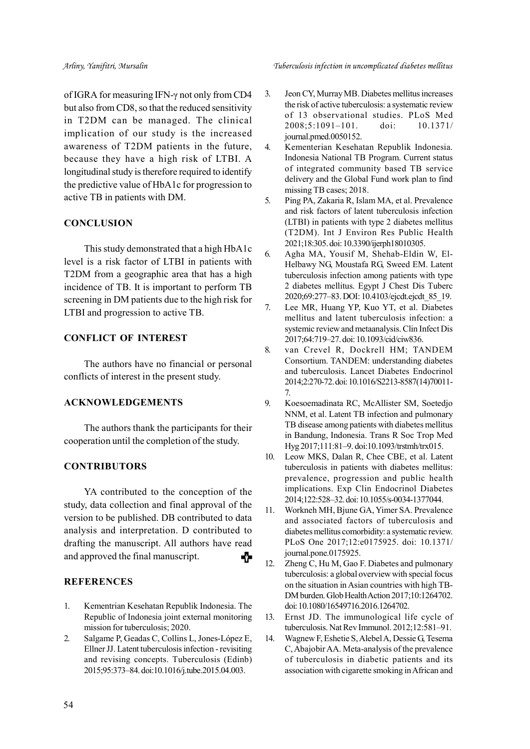of IGRA for measuring IFN-γ not only from CD4 but also from CD8, so that the reduced sensitivity in T2DM can be managed. The clinical implication of our study is the increased awareness of T2DM patients in the future, because they have a high risk of LTBI. A longitudinal study is therefore required to identify the predictive value of HbA1c for progression to active TB in patients with DM.

## **CONCLUSION**

This study demonstrated that a high HbA1c level is a risk factor of LTBI in patients with T2DM from a geographic area that has a high incidence of TB. It is important to perform TB screening in DM patients due to the high risk for LTBI and progression to active TB.

## CONFLICT OF INTEREST

The authors have no financial or personal conflicts of interest in the present study.

#### ACKNOWLEDGEMENTS

The authors thank the participants for their cooperation until the completion of the study.

#### **CONTRIBUTORS**

YA contributed to the conception of the study, data collection and final approval of the version to be published. DB contributed to data analysis and interpretation. D contributed to drafting the manuscript. All authors have read and approved the final manuscript. -0

#### **REFERENCES**

- 1. Kementrian Kesehatan Republik Indonesia. The Republic of Indonesia joint external monitoring mission for tuberculosis; 2020.
- 2. Salgame P, Geadas C, Collins L, Jones-López E, Ellner JJ. Latent tuberculosis infection - revisiting and revising concepts. Tuberculosis (Edinb) 2015;95:373–84. doi:10.1016/j.tube.2015.04.003.
- 3. Jeon CY, Murray MB. Diabetes mellitus increases the risk of active tuberculosis: a systematic review of 13 observational studies. PLoS Med 2008;5:1091–101. doi: 10.1371/ journal.pmed.0050152.
- 4. Kementerian Kesehatan Republik Indonesia. Indonesia National TB Program. Current status of integrated community based TB service delivery and the Global Fund work plan to find missing TB cases; 2018.
- 5. Ping PA, Zakaria R, Islam MA, et al. Prevalence and risk factors of latent tuberculosis infection (LTBI) in patients with type 2 diabetes mellitus (T2DM). Int J Environ Res Public Health 2021;18:305. doi: 10.3390/ijerph18010305.
- 6. Agha MA, Yousif M, Shehab-Eldin W, El-Helbawy NG, Moustafa RG, Sweed EM. Latent tuberculosis infection among patients with type 2 diabetes mellitus. Egypt J Chest Dis Tuberc 2020;69:277–83. DOI: 10.4103/ejcdt.ejcdt\_85\_19.
- 7. Lee MR, Huang YP, Kuo YT, et al. Diabetes mellitus and latent tuberculosis infection: a systemic review and metaanalysis. Clin Infect Dis 2017;64:719–27. doi: 10.1093/cid/ciw836.
- 8. van Crevel R, Dockrell HM; TANDEM Consortium. TANDEM: understanding diabetes and tuberculosis. Lancet Diabetes Endocrinol 2014;2:270-72. doi: 10.1016/S2213-8587(14)70011- 7.
- 9. Koesoemadinata RC, McAllister SM, Soetedjo NNM, et al. Latent TB infection and pulmonary TB disease among patients with diabetes mellitus in Bandung, Indonesia. Trans R Soc Trop Med Hyg 2017;111:81–9. doi:10.1093/trstmh/trx015.
- 10. Leow MKS, Dalan R, Chee CBE, et al. Latent tuberculosis in patients with diabetes mellitus: prevalence, progression and public health implications. Exp Clin Endocrinol Diabetes 2014;122:528–32. doi: 10.1055/s-0034-1377044.
- 11. Workneh MH, Bjune GA, Yimer SA. Prevalence and associated factors of tuberculosis and diabetes mellitus comorbidity: a systematic review. PLoS One 2017;12:e0175925. doi: 10.1371/ journal.pone.0175925.
- 12. Zheng C, Hu M, Gao F. Diabetes and pulmonary tuberculosis: a global overview with special focus on the situation in Asian countries with high TB-DM burden. Glob Health Action 2017;10:1264702. doi: 10.1080/16549716.2016.1264702.
- 13. Ernst JD. The immunological life cycle of tuberculosis. Nat Rev Immunol. 2012;12:581–91.
- 14. Wagnew F, Eshetie S, Alebel A, Dessie G, Tesema C, Abajobir AA. Meta-analysis of the prevalence of tuberculosis in diabetic patients and its association with cigarette smoking in African and